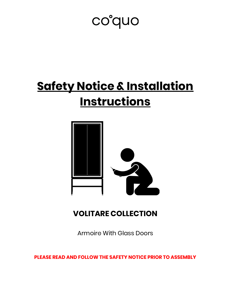## co°quo

## **Safety Notice & Installation Instructions**



## **VOLITARE COLLECTION**

Armoire With Glass Doors

**PLEASE READ AND FOLLOW THE SAFETY NOTICE PRIOR TO ASSEMBLY**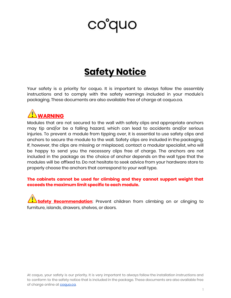# coguo

## **Safety Notice**

Your safety is a priority for coquo. It is important to always follow the assembly instructions and to comply with the safety warnings included in your module's packaging. These documents are also available free of charge at coquo.ca.



Modules that are not secured to the wall with safety clips and appropriate anchors may tip and/or be a falling hazard, which can lead to accidents and/or serious injuries. To prevent a module from tipping over, it is essential to use safety clips and anchors to secure the module to the wall. Safety clips are included in the packaging. If, however, the clips are missing or misplaced, contact a modular specialist, who will be happy to send you the necessary clips free of charge. The anchors are not included in the package as the choice of anchor depends on the wall type that the modules will be affixed to. Do not hesitate to seek advice from your hardware store to properly choose the anchors that correspond to your wall type.

#### **The cabinets cannot be used for climbing and they cannot support weight that exceeds the maximum limit specific to each module.**

**Safety Recommendation**: Prevent children from climbing on or clinging to furniture, islands, drawers, shelves, or doors.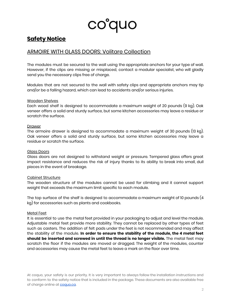

## **Safety Notice**

### ARMOIRE WITH GLASS DOORS: Volitare Collection

The modules must be secured to the wall using the appropriate anchors for your type of wall. However, if the clips are missing or misplaced, contact a modular specialist, who will gladly send you the necessary clips free of charge.

Modules that are not secured to the wall with safety clips and appropriate anchors may tip and/or be a falling hazard, which can lead to accidents and/or serious injuries.

#### Wooden Shelves

Each wood shelf is designed to accommodate a maximum weight of 20 pounds (9 kg). Oak veneer offers a solid and sturdy surface, but some kitchen accessories may leave a residue or scratch the surface.

#### Drawer

The armoire drawer is designed to accommodate a maximum weight of 30 pounds (13 kg). Oak veneer offers a solid and sturdy surface, but some kitchen accessories may leave a residue or scratch the surface.

#### Glass Doors

Glass doors are not designed to withstand weight or pressure. Tempered glass offers great impact resistance and reduces the risk of injury thanks to its ability to break into small, dull pieces in the event of breakage.

#### Cabinet Structure

The wooden structure of the modules cannot be used for climbing and it cannot support weight that exceeds the maximum limit specific to each module.

The top surface of the shelf is designed to accommodate a maximum weight of 10 pounds (4 kg) for accessories such as plants and cookbooks.

#### Metal Feet

It is essential to use the metal feet provided in your packaging to adjust and level the module. Adjustable metal feet provide more stability. They cannot be replaced by other types of feet such as casters. The addition of felt pads under the feet is not recommended and may affect the stability of the module. **In order to ensure the stability of the module, the 4 metal feet should be inserted and screwed in until the thread is no longer visible.** The metal feet may scratch the floor if the modules are moved or dragged. The weight of the modules, counter and accessories may cause the metal feet to leave a mark on the floor over time.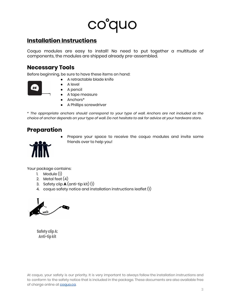# co°quo

## **Installation Instructions**

Coquo modules are easy to install! No need to put together a multitude of components, the modules are shipped already pre-assembled.

### **Necessary Tools**

Before beginning, be sure to have these items on hand:

- A retractable blade knife
- $25'$
- A level ● A pencil
- A tape measure
- Anchors\*
- A Phillips screwdriver

*\* The appropriate anchors should correspond to your type of wall. Anchors are not included as the* choice of anchor depends on your type of wall. Do not hesitate to ask for advice at your hardware store.

## **Preparation**



Prepare your space to receive the coquo modules and invite some friends over to help you!

Your package contains:

- 1. Module  $(1)$
- 2. Metal feet  $(4)$
- 3. Safety clip **A** (anti-tip kit) (1)
- 4. coquo safety notice and installation instructions leaflet (1)

 $\blacktriangleleft$ 

Safety clip A: Anti-tip kit